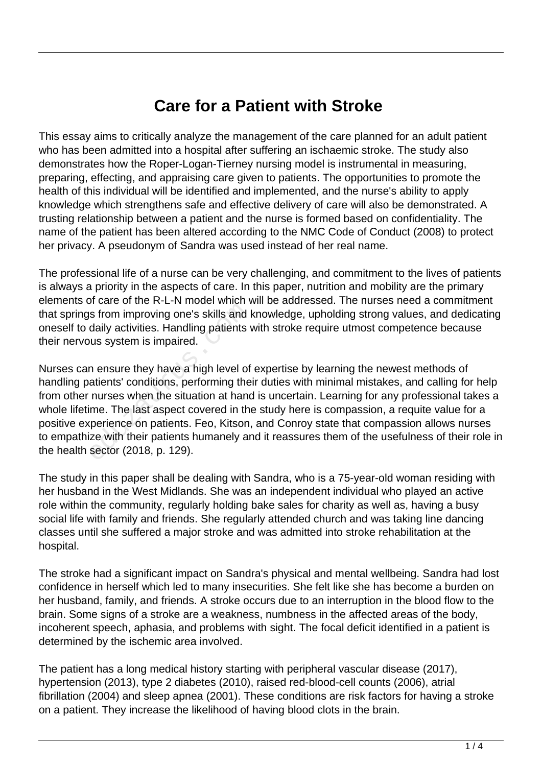## **Care for a Patient with Stroke**

This essay aims to critically analyze the management of the care planned for an adult patient who has been admitted into a hospital after suffering an ischaemic stroke. The study also demonstrates how the Roper-Logan-Tierney nursing model is instrumental in measuring, preparing, effecting, and appraising care given to patients. The opportunities to promote the health of this individual will be identified and implemented, and the nurse's ability to apply knowledge which strengthens safe and effective delivery of care will also be demonstrated. A trusting relationship between a patient and the nurse is formed based on confidentiality. The name of the patient has been altered according to the NMC Code of Conduct (2008) to protect her privacy. A pseudonym of Sandra was used instead of her real name.

The professional life of a nurse can be very challenging, and commitment to the lives of patients is always a priority in the aspects of care. In this paper, nutrition and mobility are the primary elements of care of the R-L-N model which will be addressed. The nurses need a commitment that springs from improving one's skills and knowledge, upholding strong values, and dedicating oneself to daily activities. Handling patients with stroke require utmost competence because their nervous system is impaired.

Nurses can ensure they have a high level of expertise by learning the newest methods of handling patients' conditions, performing their duties with minimal mistakes, and calling for help from other nurses when the situation at hand is uncertain. Learning for any professional takes a whole lifetime. The last aspect covered in the study here is compassion, a requite value for a positive experience on patients. Feo, Kitson, and Conroy state that compassion allows nurses to empathize with their patients humanely and it reassures them of the usefulness of their role in the health sector (2018, p. 129). educing one's skills and daily activities. Handling patients was system is impaired.<br>The system is impaired.<br>The system is impaired.<br>The system is impaired.<br>The system the situation at hand<br>me. The last aspect covered in t

The study in this paper shall be dealing with Sandra, who is a 75-year-old woman residing with her husband in the West Midlands. She was an independent individual who played an active role within the community, regularly holding bake sales for charity as well as, having a busy social life with family and friends. She regularly attended church and was taking line dancing classes until she suffered a major stroke and was admitted into stroke rehabilitation at the hospital.

The stroke had a significant impact on Sandra's physical and mental wellbeing. Sandra had lost confidence in herself which led to many insecurities. She felt like she has become a burden on her husband, family, and friends. A stroke occurs due to an interruption in the blood flow to the brain. Some signs of a stroke are a weakness, numbness in the affected areas of the body, incoherent speech, aphasia, and problems with sight. The focal deficit identified in a patient is determined by the ischemic area involved.

The patient has a long medical history starting with peripheral vascular disease (2017), hypertension (2013), type 2 diabetes (2010), raised red-blood-cell counts (2006), atrial fibrillation (2004) and sleep apnea (2001). These conditions are risk factors for having a stroke on a patient. They increase the likelihood of having blood clots in the brain.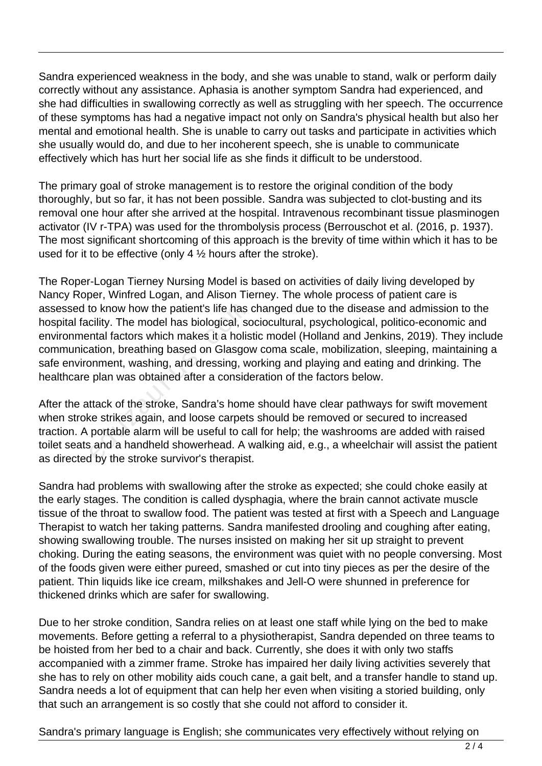Sandra experienced weakness in the body, and she was unable to stand, walk or perform daily correctly without any assistance. Aphasia is another symptom Sandra had experienced, and she had difficulties in swallowing correctly as well as struggling with her speech. The occurrence of these symptoms has had a negative impact not only on Sandra's physical health but also her mental and emotional health. She is unable to carry out tasks and participate in activities which she usually would do, and due to her incoherent speech, she is unable to communicate effectively which has hurt her social life as she finds it difficult to be understood.

The primary goal of stroke management is to restore the original condition of the body thoroughly, but so far, it has not been possible. Sandra was subjected to clot-busting and its removal one hour after she arrived at the hospital. Intravenous recombinant tissue plasminogen activator (IV r-TPA) was used for the thrombolysis process (Berrouschot et al. (2016, p. 1937). The most significant shortcoming of this approach is the brevity of time within which it has to be used for it to be effective (only 4 ½ hours after the stroke).

The Roper-Logan Tierney Nursing Model is based on activities of daily living developed by Nancy Roper, Winfred Logan, and Alison Tierney. The whole process of patient care is assessed to know how the patient's life has changed due to the disease and admission to the hospital facility. The model has biological, sociocultural, psychological, politico-economic and environmental factors which makes it a holistic model (Holland and Jenkins, 2019). They include communication, breathing based on Glasgow coma scale, mobilization, sleeping, maintaining a safe environment, washing, and dressing, working and playing and eating and drinking. The healthcare plan was obtained after a consideration of the factors below. to know how the patient's life has<br>cility. The model has biological, sc<br>ntal factors which makes it a holis<br>ation, breathing based on Glasgov<br>pnment, washing, and dressing, w<br>plan was obtained after a conside<br>ttack of the

After the attack of the stroke, Sandra's home should have clear pathways for swift movement when stroke strikes again, and loose carpets should be removed or secured to increased traction. A portable alarm will be useful to call for help; the washrooms are added with raised toilet seats and a handheld showerhead. A walking aid, e.g., a wheelchair will assist the patient as directed by the stroke survivor's therapist.

Sandra had problems with swallowing after the stroke as expected; she could choke easily at the early stages. The condition is called dysphagia, where the brain cannot activate muscle tissue of the throat to swallow food. The patient was tested at first with a Speech and Language Therapist to watch her taking patterns. Sandra manifested drooling and coughing after eating, showing swallowing trouble. The nurses insisted on making her sit up straight to prevent choking. During the eating seasons, the environment was quiet with no people conversing. Most of the foods given were either pureed, smashed or cut into tiny pieces as per the desire of the patient. Thin liquids like ice cream, milkshakes and Jell-O were shunned in preference for thickened drinks which are safer for swallowing.

Due to her stroke condition, Sandra relies on at least one staff while lying on the bed to make movements. Before getting a referral to a physiotherapist, Sandra depended on three teams to be hoisted from her bed to a chair and back. Currently, she does it with only two staffs accompanied with a zimmer frame. Stroke has impaired her daily living activities severely that she has to rely on other mobility aids couch cane, a gait belt, and a transfer handle to stand up. Sandra needs a lot of equipment that can help her even when visiting a storied building, only that such an arrangement is so costly that she could not afford to consider it.

Sandra's primary language is English; she communicates very effectively without relying on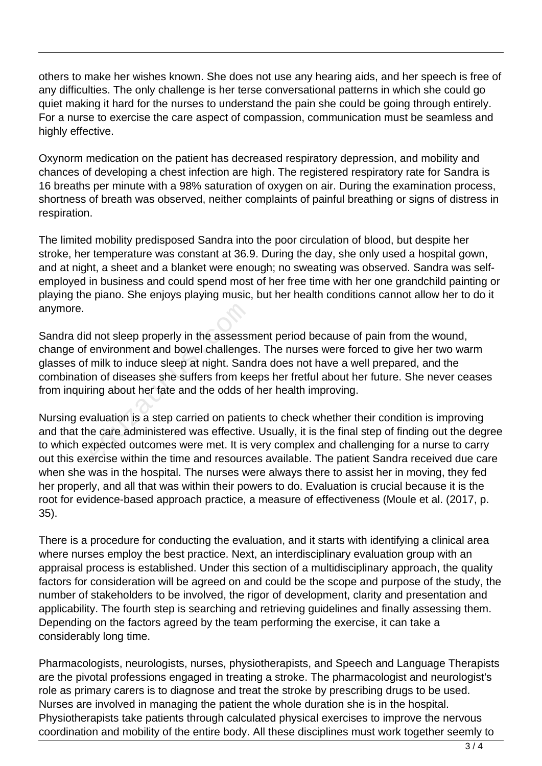others to make her wishes known. She does not use any hearing aids, and her speech is free of any difficulties. The only challenge is her terse conversational patterns in which she could go quiet making it hard for the nurses to understand the pain she could be going through entirely. For a nurse to exercise the care aspect of compassion, communication must be seamless and highly effective.

Oxynorm medication on the patient has decreased respiratory depression, and mobility and chances of developing a chest infection are high. The registered respiratory rate for Sandra is 16 breaths per minute with a 98% saturation of oxygen on air. During the examination process, shortness of breath was observed, neither complaints of painful breathing or signs of distress in respiration.

The limited mobility predisposed Sandra into the poor circulation of blood, but despite her stroke, her temperature was constant at 36.9. During the day, she only used a hospital gown, and at night, a sheet and a blanket were enough; no sweating was observed. Sandra was selfemployed in business and could spend most of her free time with her one grandchild painting or playing the piano. She enjoys playing music, but her health conditions cannot allow her to do it anymore.

Sandra did not sleep properly in the assessment period because of pain from the wound, change of environment and bowel challenges. The nurses were forced to give her two warm glasses of milk to induce sleep at night. Sandra does not have a well prepared, and the combination of diseases she suffers from keeps her fretful about her future. She never ceases from inquiring about her fate and the odds of her health improving. I not sleep properly in the assessm<br>environment and bowel challenge<br>milk to induce sleep at night. San<br>on of diseases she suffers from ke<br>ing about her fate and the odds of<br>valuation is a step carried on patie<br>e care admin

Nursing evaluation is a step carried on patients to check whether their condition is improving and that the care administered was effective. Usually, it is the final step of finding out the degree to which expected outcomes were met. It is very complex and challenging for a nurse to carry out this exercise within the time and resources available. The patient Sandra received due care when she was in the hospital. The nurses were always there to assist her in moving, they fed her properly, and all that was within their powers to do. Evaluation is crucial because it is the root for evidence-based approach practice, a measure of effectiveness (Moule et al. (2017, p. 35).

There is a procedure for conducting the evaluation, and it starts with identifying a clinical area where nurses employ the best practice. Next, an interdisciplinary evaluation group with an appraisal process is established. Under this section of a multidisciplinary approach, the quality factors for consideration will be agreed on and could be the scope and purpose of the study, the number of stakeholders to be involved, the rigor of development, clarity and presentation and applicability. The fourth step is searching and retrieving guidelines and finally assessing them. Depending on the factors agreed by the team performing the exercise, it can take a considerably long time.

Pharmacologists, neurologists, nurses, physiotherapists, and Speech and Language Therapists are the pivotal professions engaged in treating a stroke. The pharmacologist and neurologist's role as primary carers is to diagnose and treat the stroke by prescribing drugs to be used. Nurses are involved in managing the patient the whole duration she is in the hospital. Physiotherapists take patients through calculated physical exercises to improve the nervous coordination and mobility of the entire body. All these disciplines must work together seemly to